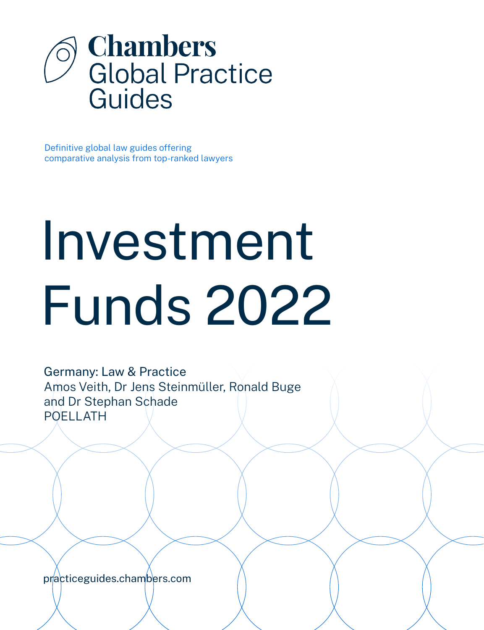

Definitive global law guides offering comparative analysis from top-ranked lawyers

# Investment Funds 2022

Germany: Law & Practice Amos Veith, Dr Jens Steinmüller, Ronald Buge and Dr Stephan Schade POELLATH

[practiceguides.chambers.com](http://practiceguides.chambers.com)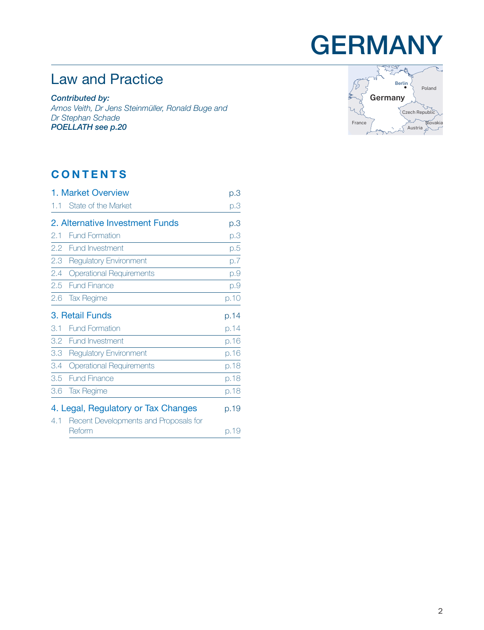## **GERMANY**

## Law and Practice

*Contributed by: Amos Veith, Dr Jens Steinmüller, Ronald Buge and Dr Stephan Schade POELLATH [see p.20](#page-19-0)*



### **CONTENTS**

| 1. Market Overview |                                                 | p.3  |
|--------------------|-------------------------------------------------|------|
| 1.1                | State of the Market                             | p.3  |
|                    | 2. Alternative Investment Funds                 | p.3  |
| 2.1                | <b>Fund Formation</b>                           | p.3  |
| 2.2                | <b>Fund Investment</b>                          | p.5  |
| 2.3                | <b>Regulatory Environment</b>                   | p.7  |
| 2.4                | <b>Operational Requirements</b>                 | p.9  |
| 2.5                | <b>Fund Finance</b>                             | p.9  |
| 2.6                | <b>Tax Regime</b>                               | p.10 |
| 3. Retail Funds    |                                                 | p.14 |
| 3.1                | <b>Fund Formation</b>                           | p.14 |
| 3.2                | <b>Fund Investment</b>                          | p.16 |
| 3.3                | <b>Regulatory Environment</b>                   | p.16 |
| 3.4                | <b>Operational Requirements</b>                 | p.18 |
| 3.5                | <b>Fund Finance</b>                             | p.18 |
| 3.6                | <b>Tax Regime</b>                               | p.18 |
|                    | 4. Legal, Regulatory or Tax Changes             | p.19 |
| 4.1                | Recent Developments and Proposals for<br>Reform | p.19 |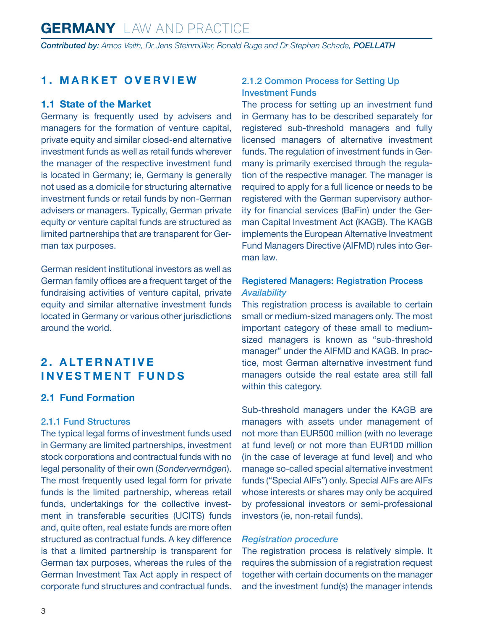<span id="page-2-0"></span>*Contributed by: Amos Veith, Dr Jens Steinmüller, Ronald Buge and Dr Stephan Schade, POELLATH*

#### **1. MARKET OVERVIEW**

#### **1.1 State of the Market**

Germany is frequently used by advisers and managers for the formation of venture capital, private equity and similar closed-end alternative investment funds as well as retail funds wherever the manager of the respective investment fund is located in Germany; ie, Germany is generally not used as a domicile for structuring alternative investment funds or retail funds by non-German advisers or managers. Typically, German private equity or venture capital funds are structured as limited partnerships that are transparent for German tax purposes.

German resident institutional investors as well as German family offices are a frequent target of the fundraising activities of venture capital, private equity and similar alternative investment funds located in Germany or various other jurisdictions around the world.

#### **2 . A LT E R N AT I V E INVESTMENT FUNDS**

#### **2.1 Fund Formation**

#### 2.1.1 Fund Structures

The typical legal forms of investment funds used in Germany are limited partnerships, investment stock corporations and contractual funds with no legal personality of their own (*Sondervermögen*). The most frequently used legal form for private funds is the limited partnership, whereas retail funds, undertakings for the collective investment in transferable securities (UCITS) funds and, quite often, real estate funds are more often structured as contractual funds. A key difference is that a limited partnership is transparent for German tax purposes, whereas the rules of the German Investment Tax Act apply in respect of corporate fund structures and contractual funds.

#### 2.1.2 Common Process for Setting Up Investment Funds

The process for setting up an investment fund in Germany has to be described separately for registered sub-threshold managers and fully licensed managers of alternative investment funds. The regulation of investment funds in Germany is primarily exercised through the regulation of the respective manager. The manager is required to apply for a full licence or needs to be registered with the German supervisory authority for financial services (BaFin) under the German Capital Investment Act (KAGB). The KAGB implements the European Alternative Investment Fund Managers Directive (AIFMD) rules into German law.

#### Registered Managers: Registration Process *Availability*

This registration process is available to certain small or medium-sized managers only. The most important category of these small to mediumsized managers is known as "sub-threshold manager" under the AIFMD and KAGB. In practice, most German alternative investment fund managers outside the real estate area still fall within this category.

Sub-threshold managers under the KAGB are managers with assets under management of not more than EUR500 million (with no leverage at fund level) or not more than EUR100 million (in the case of leverage at fund level) and who manage so-called special alternative investment funds ("Special AIFs") only. Special AIFs are AIFs whose interests or shares may only be acquired by professional investors or semi-professional investors (ie, non-retail funds).

#### *Registration procedure*

The registration process is relatively simple. It requires the submission of a registration request together with certain documents on the manager and the investment fund(s) the manager intends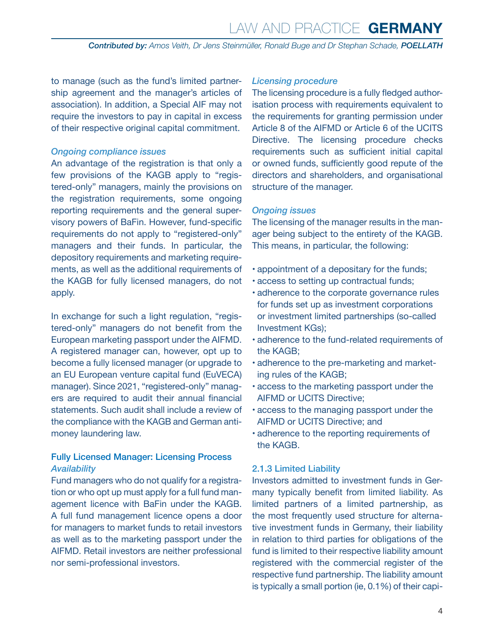to manage (such as the fund's limited partnership agreement and the manager's articles of association). In addition, a Special AIF may not require the investors to pay in capital in excess of their respective original capital commitment.

#### *Ongoing compliance issues*

An advantage of the registration is that only a few provisions of the KAGB apply to "registered-only" managers, mainly the provisions on the registration requirements, some ongoing reporting requirements and the general supervisory powers of BaFin. However, fund-specific requirements do not apply to "registered-only" managers and their funds. In particular, the depository requirements and marketing requirements, as well as the additional requirements of the KAGB for fully licensed managers, do not apply.

In exchange for such a light regulation, "registered-only" managers do not benefit from the European marketing passport under the AIFMD. A registered manager can, however, opt up to become a fully licensed manager (or upgrade to an EU European venture capital fund (EuVECA) manager). Since 2021, "registered-only" managers are required to audit their annual financial statements. Such audit shall include a review of the compliance with the KAGB and German antimoney laundering law.

#### Fully Licensed Manager: Licensing Process *Availability*

Fund managers who do not qualify for a registration or who opt up must apply for a full fund management licence with BaFin under the KAGB. A full fund management licence opens a door for managers to market funds to retail investors as well as to the marketing passport under the AIFMD. Retail investors are neither professional nor semi-professional investors.

#### *Licensing procedure*

The licensing procedure is a fully fledged authorisation process with requirements equivalent to the requirements for granting permission under Article 8 of the AIFMD or Article 6 of the UCITS Directive. The licensing procedure checks requirements such as sufficient initial capital or owned funds, sufficiently good repute of the directors and shareholders, and organisational structure of the manager.

#### *Ongoing issues*

The licensing of the manager results in the manager being subject to the entirety of the KAGB. This means, in particular, the following:

- appointment of a depositary for the funds;
- access to setting up contractual funds;
- adherence to the corporate governance rules for funds set up as investment corporations or investment limited partnerships (so-called Investment KGs);
- adherence to the fund-related requirements of the KAGB;
- adherence to the pre-marketing and marketing rules of the KAGB;
- access to the marketing passport under the AIFMD or UCITS Directive;
- access to the managing passport under the AIFMD or UCITS Directive; and
- adherence to the reporting requirements of the KAGB.

#### 2.1.3 Limited Liability

Investors admitted to investment funds in Germany typically benefit from limited liability. As limited partners of a limited partnership, as the most frequently used structure for alternative investment funds in Germany, their liability in relation to third parties for obligations of the fund is limited to their respective liability amount registered with the commercial register of the respective fund partnership. The liability amount is typically a small portion (ie, 0.1%) of their capi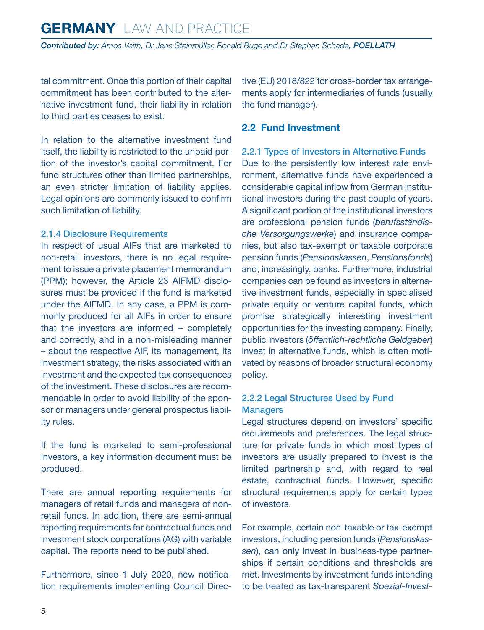<span id="page-4-0"></span>tal commitment. Once this portion of their capital commitment has been contributed to the alternative investment fund, their liability in relation to third parties ceases to exist.

In relation to the alternative investment fund itself, the liability is restricted to the unpaid portion of the investor's capital commitment. For fund structures other than limited partnerships, an even stricter limitation of liability applies. Legal opinions are commonly issued to confirm such limitation of liability.

#### 2.1.4 Disclosure Requirements

In respect of usual AIFs that are marketed to non-retail investors, there is no legal requirement to issue a private placement memorandum (PPM); however, the Article 23 AIFMD disclosures must be provided if the fund is marketed under the AIFMD. In any case, a PPM is commonly produced for all AIFs in order to ensure that the investors are informed – completely and correctly, and in a non-misleading manner – about the respective AIF, its management, its investment strategy, the risks associated with an investment and the expected tax consequences of the investment. These disclosures are recommendable in order to avoid liability of the sponsor or managers under general prospectus liability rules.

If the fund is marketed to semi-professional investors, a key information document must be produced.

There are annual reporting requirements for managers of retail funds and managers of nonretail funds. In addition, there are semi-annual reporting requirements for contractual funds and investment stock corporations (AG) with variable capital. The reports need to be published.

Furthermore, since 1 July 2020, new notification requirements implementing Council Directive (EU) 2018/822 for cross-border tax arrangements apply for intermediaries of funds (usually the fund manager).

#### **2.2 Fund Investment**

2.2.1 Types of Investors in Alternative Funds Due to the persistently low interest rate environment, alternative funds have experienced a considerable capital inflow from German institutional investors during the past couple of years. A significant portion of the institutional investors are professional pension funds (*berufsständische Versorgungswerke*) and insurance companies, but also tax-exempt or taxable corporate pension funds (*Pensionskassen*, *Pensionsfonds*) and, increasingly, banks. Furthermore, industrial companies can be found as investors in alternative investment funds, especially in specialised private equity or venture capital funds, which promise strategically interesting investment opportunities for the investing company. Finally, public investors (*öffentlich-rechtliche Geldgeber*) invest in alternative funds, which is often motivated by reasons of broader structural economy policy.

#### 2.2.2 Legal Structures Used by Fund **Managers**

Legal structures depend on investors' specific requirements and preferences. The legal structure for private funds in which most types of investors are usually prepared to invest is the limited partnership and, with regard to real estate, contractual funds. However, specific structural requirements apply for certain types of investors.

For example, certain non-taxable or tax-exempt investors, including pension funds (*Pensionskassen*), can only invest in business-type partnerships if certain conditions and thresholds are met. Investments by investment funds intending to be treated as tax-transparent *Spezial-Invest-*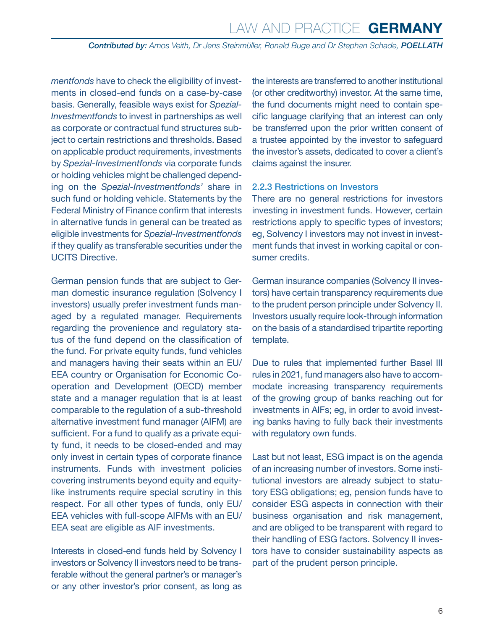*mentfonds* have to check the eligibility of investments in closed-end funds on a case-by-case basis. Generally, feasible ways exist for *Spezial-Investmentfonds* to invest in partnerships as well as corporate or contractual fund structures subject to certain restrictions and thresholds. Based on applicable product requirements, investments by *Spezial-Investmentfonds* via corporate funds or holding vehicles might be challenged depending on the *Spezial-Investmentfonds'* share in such fund or holding vehicle. Statements by the Federal Ministry of Finance confirm that interests in alternative funds in general can be treated as eligible investments for *Spezial-Investmentfonds* if they qualify as transferable securities under the UCITS Directive.

German pension funds that are subject to German domestic insurance regulation (Solvency I investors) usually prefer investment funds managed by a regulated manager. Requirements regarding the provenience and regulatory status of the fund depend on the classification of the fund. For private equity funds, fund vehicles and managers having their seats within an EU/ EEA country or Organisation for Economic Cooperation and Development (OECD) member state and a manager regulation that is at least comparable to the regulation of a sub-threshold alternative investment fund manager (AIFM) are sufficient. For a fund to qualify as a private equity fund, it needs to be closed-ended and may only invest in certain types of corporate finance instruments. Funds with investment policies covering instruments beyond equity and equitylike instruments require special scrutiny in this respect. For all other types of funds, only EU/ EEA vehicles with full-scope AIFMs with an EU/ EEA seat are eligible as AIF investments.

Interests in closed-end funds held by Solvency I investors or Solvency II investors need to be transferable without the general partner's or manager's or any other investor's prior consent, as long as the interests are transferred to another institutional (or other creditworthy) investor. At the same time, the fund documents might need to contain specific language clarifying that an interest can only be transferred upon the prior written consent of a trustee appointed by the investor to safeguard the investor's assets, dedicated to cover a client's claims against the insurer.

#### 2.2.3 Restrictions on Investors

There are no general restrictions for investors investing in investment funds. However, certain restrictions apply to specific types of investors; eg, Solvency I investors may not invest in investment funds that invest in working capital or consumer credits.

German insurance companies (Solvency II investors) have certain transparency requirements due to the prudent person principle under Solvency II. Investors usually require look-through information on the basis of a standardised tripartite reporting template.

Due to rules that implemented further Basel III rules in 2021, fund managers also have to accommodate increasing transparency requirements of the growing group of banks reaching out for investments in AIFs; eg, in order to avoid investing banks having to fully back their investments with regulatory own funds.

Last but not least, ESG impact is on the agenda of an increasing number of investors. Some institutional investors are already subject to statutory ESG obligations; eg, pension funds have to consider ESG aspects in connection with their business organisation and risk management, and are obliged to be transparent with regard to their handling of ESG factors. Solvency II investors have to consider sustainability aspects as part of the prudent person principle.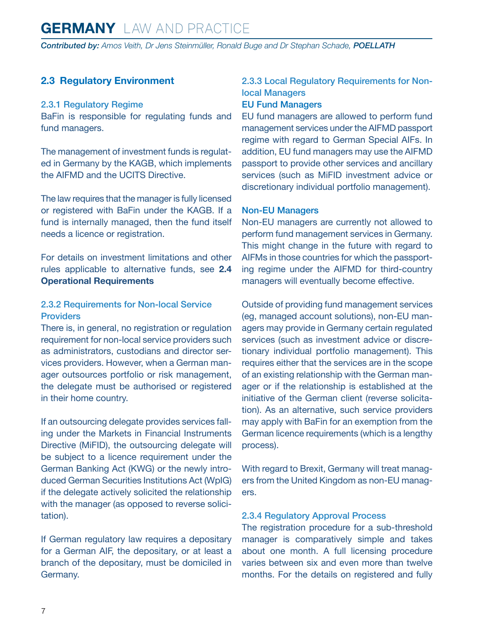<span id="page-6-0"></span>*Contributed by: Amos Veith, Dr Jens Steinmüller, Ronald Buge and Dr Stephan Schade, POELLATH*

#### **2.3 Regulatory Environment**

#### 2.3.1 Regulatory Regime

BaFin is responsible for regulating funds and fund managers.

The management of investment funds is regulated in Germany by the KAGB, which implements the AIFMD and the UCITS Directive.

The law requires that the manager is fully licensed or registered with BaFin under the KAGB. If a fund is internally managed, then the fund itself needs a licence or registration.

For details on investment limitations and other rules applicable to alternative funds, see **2.4 Operational Requirements**

#### 2.3.2 Requirements for Non-local Service **Providers**

There is, in general, no registration or regulation requirement for non-local service providers such as administrators, custodians and director services providers. However, when a German manager outsources portfolio or risk management, the delegate must be authorised or registered in their home country.

If an outsourcing delegate provides services falling under the Markets in Financial Instruments Directive (MiFID), the outsourcing delegate will be subject to a licence requirement under the German Banking Act (KWG) or the newly introduced German Securities Institutions Act (WpIG) if the delegate actively solicited the relationship with the manager (as opposed to reverse solicitation).

If German regulatory law requires a depositary for a German AIF, the depositary, or at least a branch of the depositary, must be domiciled in Germany.

#### 2.3.3 Local Regulatory Requirements for Nonlocal Managers

#### EU Fund Managers

EU fund managers are allowed to perform fund management services under the AIFMD passport regime with regard to German Special AIFs. In addition, EU fund managers may use the AIFMD passport to provide other services and ancillary services (such as MiFID investment advice or discretionary individual portfolio management).

#### Non-EU Managers

Non-EU managers are currently not allowed to perform fund management services in Germany. This might change in the future with regard to AIFMs in those countries for which the passporting regime under the AIFMD for third-country managers will eventually become effective.

Outside of providing fund management services (eg, managed account solutions), non-EU managers may provide in Germany certain regulated services (such as investment advice or discretionary individual portfolio management). This requires either that the services are in the scope of an existing relationship with the German manager or if the relationship is established at the initiative of the German client (reverse solicitation). As an alternative, such service providers may apply with BaFin for an exemption from the German licence requirements (which is a lengthy process).

With regard to Brexit, Germany will treat managers from the United Kingdom as non-EU managers.

#### 2.3.4 Regulatory Approval Process

The registration procedure for a sub-threshold manager is comparatively simple and takes about one month. A full licensing procedure varies between six and even more than twelve months. For the details on registered and fully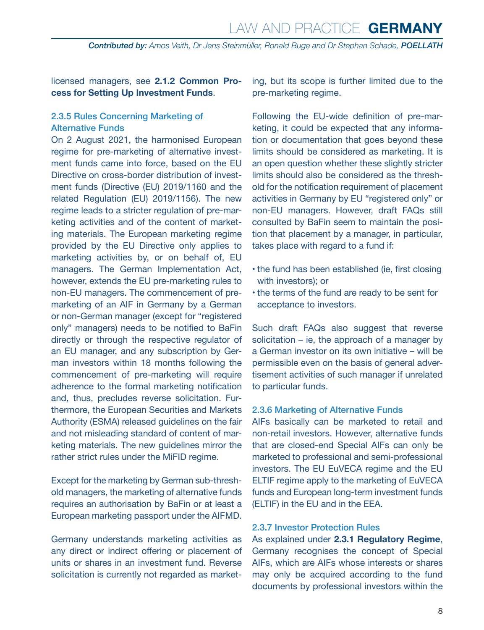licensed managers, see **2.1.2 Common Process for Setting Up Investment Funds**.

#### 2.3.5 Rules Concerning Marketing of Alternative Funds

On 2 August 2021, the harmonised European regime for pre-marketing of alternative investment funds came into force, based on the EU Directive on cross-border distribution of investment funds (Directive (EU) 2019/1160 and the related Regulation (EU) 2019/1156). The new regime leads to a stricter regulation of pre-marketing activities and of the content of marketing materials. The European marketing regime provided by the EU Directive only applies to marketing activities by, or on behalf of, EU managers. The German Implementation Act, however, extends the EU pre-marketing rules to non-EU managers. The commencement of premarketing of an AIF in Germany by a German or non-German manager (except for "registered only" managers) needs to be notified to BaFin directly or through the respective regulator of an EU manager, and any subscription by German investors within 18 months following the commencement of pre-marketing will require adherence to the formal marketing notification and, thus, precludes reverse solicitation. Furthermore, the European Securities and Markets Authority (ESMA) released guidelines on the fair and not misleading standard of content of marketing materials. The new guidelines mirror the rather strict rules under the MiFID regime.

Except for the marketing by German sub-threshold managers, the marketing of alternative funds requires an authorisation by BaFin or at least a European marketing passport under the AIFMD.

Germany understands marketing activities as any direct or indirect offering or placement of units or shares in an investment fund. Reverse solicitation is currently not regarded as marketing, but its scope is further limited due to the pre-marketing regime.

Following the EU-wide definition of pre-marketing, it could be expected that any information or documentation that goes beyond these limits should be considered as marketing. It is an open question whether these slightly stricter limits should also be considered as the threshold for the notification requirement of placement activities in Germany by EU "registered only" or non-EU managers. However, draft FAQs still consulted by BaFin seem to maintain the position that placement by a manager, in particular, takes place with regard to a fund if:

- the fund has been established (ie, first closing with investors); or
- the terms of the fund are ready to be sent for acceptance to investors.

Such draft FAQs also suggest that reverse solicitation – ie, the approach of a manager by a German investor on its own initiative – will be permissible even on the basis of general advertisement activities of such manager if unrelated to particular funds.

#### 2.3.6 Marketing of Alternative Funds

AIFs basically can be marketed to retail and non-retail investors. However, alternative funds that are closed-end Special AIFs can only be marketed to professional and semi-professional investors. The EU EuVECA regime and the EU ELTIF regime apply to the marketing of EuVECA funds and European long-term investment funds (ELTIF) in the EU and in the EEA.

#### 2.3.7 Investor Protection Rules

As explained under **2.3.1 Regulatory Regime**, Germany recognises the concept of Special AIFs, which are AIFs whose interests or shares may only be acquired according to the fund documents by professional investors within the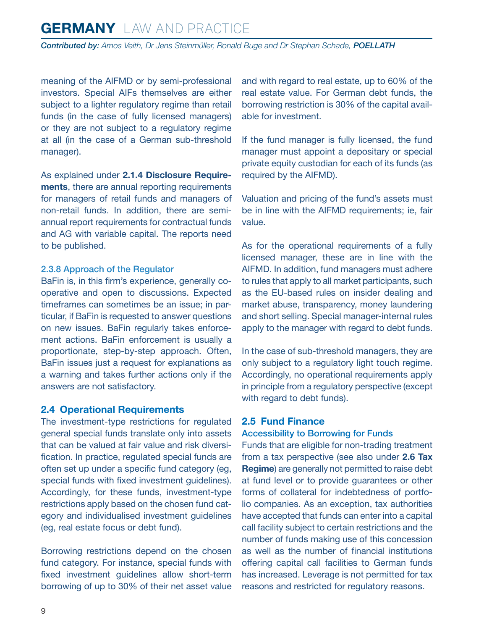<span id="page-8-0"></span>*Contributed by: Amos Veith, Dr Jens Steinmüller, Ronald Buge and Dr Stephan Schade, POELLATH*

meaning of the AIFMD or by semi-professional investors. Special AIFs themselves are either subject to a lighter regulatory regime than retail funds (in the case of fully licensed managers) or they are not subject to a regulatory regime at all (in the case of a German sub-threshold manager).

As explained under **2.1.4 Disclosure Requirements**, there are annual reporting requirements for managers of retail funds and managers of non-retail funds. In addition, there are semiannual report requirements for contractual funds and AG with variable capital. The reports need to be published.

#### 2.3.8 Approach of the Regulator

BaFin is, in this firm's experience, generally cooperative and open to discussions. Expected timeframes can sometimes be an issue; in particular, if BaFin is requested to answer questions on new issues. BaFin regularly takes enforcement actions. BaFin enforcement is usually a proportionate, step-by-step approach. Often, BaFin issues just a request for explanations as a warning and takes further actions only if the answers are not satisfactory.

#### **2.4 Operational Requirements**

The investment-type restrictions for regulated general special funds translate only into assets that can be valued at fair value and risk diversification. In practice, regulated special funds are often set up under a specific fund category (eg, special funds with fixed investment guidelines). Accordingly, for these funds, investment-type restrictions apply based on the chosen fund category and individualised investment guidelines (eg, real estate focus or debt fund).

Borrowing restrictions depend on the chosen fund category. For instance, special funds with fixed investment guidelines allow short-term borrowing of up to 30% of their net asset value and with regard to real estate, up to 60% of the real estate value. For German debt funds, the borrowing restriction is 30% of the capital available for investment.

If the fund manager is fully licensed, the fund manager must appoint a depositary or special private equity custodian for each of its funds (as required by the AIFMD).

Valuation and pricing of the fund's assets must be in line with the AIFMD requirements; ie, fair value.

As for the operational requirements of a fully licensed manager, these are in line with the AIFMD. In addition, fund managers must adhere to rules that apply to all market participants, such as the EU-based rules on insider dealing and market abuse, transparency, money laundering and short selling. Special manager-internal rules apply to the manager with regard to debt funds.

In the case of sub-threshold managers, they are only subject to a regulatory light touch regime. Accordingly, no operational requirements apply in principle from a regulatory perspective (except with regard to debt funds).

#### **2.5 Fund Finance**

#### Accessibility to Borrowing for Funds

Funds that are eligible for non-trading treatment from a tax perspective (see also under **2.6 Tax Regime**) are generally not permitted to raise debt at fund level or to provide guarantees or other forms of collateral for indebtedness of portfolio companies. As an exception, tax authorities have accepted that funds can enter into a capital call facility subject to certain restrictions and the number of funds making use of this concession as well as the number of financial institutions offering capital call facilities to German funds has increased. Leverage is not permitted for tax reasons and restricted for regulatory reasons.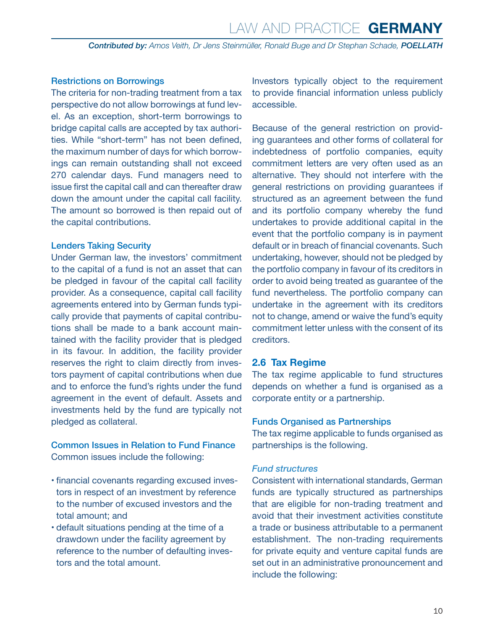#### <span id="page-9-0"></span>Restrictions on Borrowings

The criteria for non-trading treatment from a tax perspective do not allow borrowings at fund level. As an exception, short-term borrowings to bridge capital calls are accepted by tax authorities. While "short-term" has not been defined, the maximum number of days for which borrowings can remain outstanding shall not exceed 270 calendar days. Fund managers need to issue first the capital call and can thereafter draw down the amount under the capital call facility. The amount so borrowed is then repaid out of the capital contributions.

#### Lenders Taking Security

Under German law, the investors' commitment to the capital of a fund is not an asset that can be pledged in favour of the capital call facility provider. As a consequence, capital call facility agreements entered into by German funds typically provide that payments of capital contributions shall be made to a bank account maintained with the facility provider that is pledged in its favour. In addition, the facility provider reserves the right to claim directly from investors payment of capital contributions when due and to enforce the fund's rights under the fund agreement in the event of default. Assets and investments held by the fund are typically not pledged as collateral.

Common Issues in Relation to Fund Finance Common issues include the following:

- financial covenants regarding excused investors in respect of an investment by reference to the number of excused investors and the total amount; and
- default situations pending at the time of a drawdown under the facility agreement by reference to the number of defaulting investors and the total amount.

Investors typically object to the requirement to provide financial information unless publicly accessible.

Because of the general restriction on providing guarantees and other forms of collateral for indebtedness of portfolio companies, equity commitment letters are very often used as an alternative. They should not interfere with the general restrictions on providing guarantees if structured as an agreement between the fund and its portfolio company whereby the fund undertakes to provide additional capital in the event that the portfolio company is in payment default or in breach of financial covenants. Such undertaking, however, should not be pledged by the portfolio company in favour of its creditors in order to avoid being treated as guarantee of the fund nevertheless. The portfolio company can undertake in the agreement with its creditors not to change, amend or waive the fund's equity commitment letter unless with the consent of its creditors.

#### **2.6 Tax Regime**

The tax regime applicable to fund structures depends on whether a fund is organised as a corporate entity or a partnership.

#### Funds Organised as Partnerships

The tax regime applicable to funds organised as partnerships is the following.

#### *Fund structures*

Consistent with international standards, German funds are typically structured as partnerships that are eligible for non-trading treatment and avoid that their investment activities constitute a trade or business attributable to a permanent establishment. The non-trading requirements for private equity and venture capital funds are set out in an administrative pronouncement and include the following: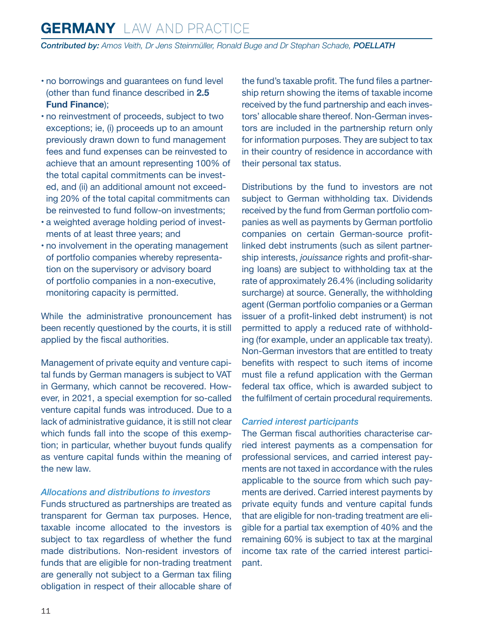- no borrowings and guarantees on fund level (other than fund finance described in **2.5 Fund Finance**);
- no reinvestment of proceeds, subject to two exceptions; ie, (i) proceeds up to an amount previously drawn down to fund management fees and fund expenses can be reinvested to achieve that an amount representing 100% of the total capital commitments can be invested, and (ii) an additional amount not exceeding 20% of the total capital commitments can be reinvested to fund follow-on investments;
- a weighted average holding period of investments of at least three years; and
- no involvement in the operating management of portfolio companies whereby representation on the supervisory or advisory board of portfolio companies in a non-executive, monitoring capacity is permitted.

While the administrative pronouncement has been recently questioned by the courts, it is still applied by the fiscal authorities.

Management of private equity and venture capital funds by German managers is subject to VAT in Germany, which cannot be recovered. However, in 2021, a special exemption for so-called venture capital funds was introduced. Due to a lack of administrative guidance, it is still not clear which funds fall into the scope of this exemption; in particular, whether buyout funds qualify as venture capital funds within the meaning of the new law.

#### *Allocations and distributions to investors*

Funds structured as partnerships are treated as transparent for German tax purposes. Hence, taxable income allocated to the investors is subject to tax regardless of whether the fund made distributions. Non-resident investors of funds that are eligible for non-trading treatment are generally not subject to a German tax filing obligation in respect of their allocable share of the fund's taxable profit. The fund files a partnership return showing the items of taxable income received by the fund partnership and each investors' allocable share thereof. Non-German investors are included in the partnership return only for information purposes. They are subject to tax in their country of residence in accordance with their personal tax status.

Distributions by the fund to investors are not subject to German withholding tax. Dividends received by the fund from German portfolio companies as well as payments by German portfolio companies on certain German-source profitlinked debt instruments (such as silent partnership interests, *jouissance* rights and profit-sharing loans) are subject to withholding tax at the rate of approximately 26.4% (including solidarity surcharge) at source. Generally, the withholding agent (German portfolio companies or a German issuer of a profit-linked debt instrument) is not permitted to apply a reduced rate of withholding (for example, under an applicable tax treaty). Non-German investors that are entitled to treaty benefits with respect to such items of income must file a refund application with the German federal tax office, which is awarded subject to the fulfilment of certain procedural requirements.

#### *Carried interest participants*

The German fiscal authorities characterise carried interest payments as a compensation for professional services, and carried interest payments are not taxed in accordance with the rules applicable to the source from which such payments are derived. Carried interest payments by private equity funds and venture capital funds that are eligible for non-trading treatment are eligible for a partial tax exemption of 40% and the remaining 60% is subject to tax at the marginal income tax rate of the carried interest participant.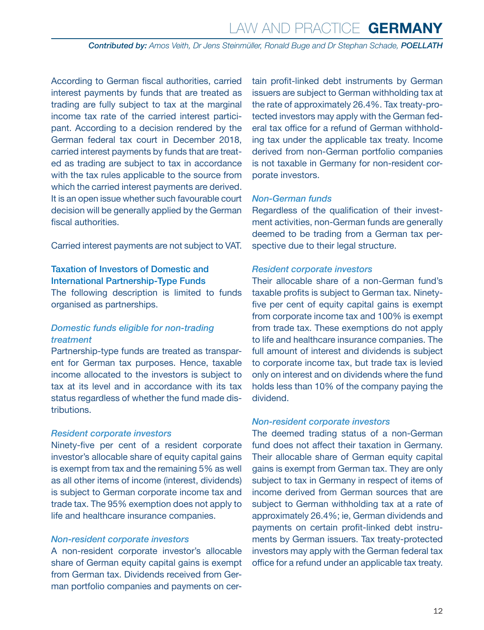According to German fiscal authorities, carried interest payments by funds that are treated as trading are fully subject to tax at the marginal income tax rate of the carried interest participant. According to a decision rendered by the German federal tax court in December 2018, carried interest payments by funds that are treated as trading are subject to tax in accordance with the tax rules applicable to the source from which the carried interest payments are derived. It is an open issue whether such favourable court decision will be generally applied by the German fiscal authorities.

Carried interest payments are not subject to VAT.

#### Taxation of Investors of Domestic and International Partnership-Type Funds

The following description is limited to funds organised as partnerships.

#### *Domestic funds eligible for non-trading treatment*

Partnership-type funds are treated as transparent for German tax purposes. Hence, taxable income allocated to the investors is subject to tax at its level and in accordance with its tax status regardless of whether the fund made distributions.

#### *Resident corporate investors*

Ninety-five per cent of a resident corporate investor's allocable share of equity capital gains is exempt from tax and the remaining 5% as well as all other items of income (interest, dividends) is subject to German corporate income tax and trade tax. The 95% exemption does not apply to life and healthcare insurance companies.

#### *Non-resident corporate investors*

A non-resident corporate investor's allocable share of German equity capital gains is exempt from German tax. Dividends received from German portfolio companies and payments on certain profit-linked debt instruments by German issuers are subject to German withholding tax at the rate of approximately 26.4%. Tax treaty-protected investors may apply with the German federal tax office for a refund of German withholding tax under the applicable tax treaty. Income derived from non-German portfolio companies is not taxable in Germany for non-resident corporate investors.

#### *Non-German funds*

Regardless of the qualification of their investment activities, non-German funds are generally deemed to be trading from a German tax perspective due to their legal structure.

#### *Resident corporate investors*

Their allocable share of a non-German fund's taxable profits is subject to German tax. Ninetyfive per cent of equity capital gains is exempt from corporate income tax and 100% is exempt from trade tax. These exemptions do not apply to life and healthcare insurance companies. The full amount of interest and dividends is subject to corporate income tax, but trade tax is levied only on interest and on dividends where the fund holds less than 10% of the company paying the dividend.

#### *Non-resident corporate investors*

The deemed trading status of a non-German fund does not affect their taxation in Germany. Their allocable share of German equity capital gains is exempt from German tax. They are only subject to tax in Germany in respect of items of income derived from German sources that are subject to German withholding tax at a rate of approximately 26.4%; ie, German dividends and payments on certain profit-linked debt instruments by German issuers. Tax treaty-protected investors may apply with the German federal tax office for a refund under an applicable tax treaty.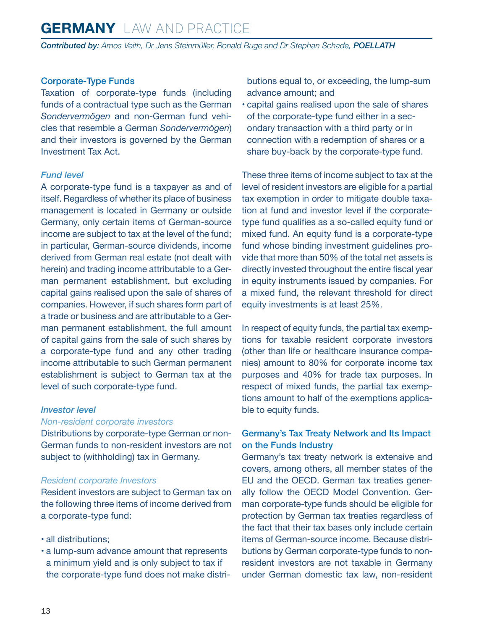*Contributed by: Amos Veith, Dr Jens Steinmüller, Ronald Buge and Dr Stephan Schade, POELLATH*

#### Corporate-Type Funds

Taxation of corporate-type funds (including funds of a contractual type such as the German *Sondervermögen* and non-German fund vehicles that resemble a German *Sondervermögen*) and their investors is governed by the German Investment Tax Act.

#### *Fund level*

A corporate-type fund is a taxpayer as and of itself. Regardless of whether its place of business management is located in Germany or outside Germany, only certain items of German-source income are subject to tax at the level of the fund; in particular, German-source dividends, income derived from German real estate (not dealt with herein) and trading income attributable to a German permanent establishment, but excluding capital gains realised upon the sale of shares of companies. However, if such shares form part of a trade or business and are attributable to a German permanent establishment, the full amount of capital gains from the sale of such shares by a corporate-type fund and any other trading income attributable to such German permanent establishment is subject to German tax at the level of such corporate-type fund.

#### *Investor level*

#### *Non-resident corporate investors*

Distributions by corporate-type German or non-German funds to non-resident investors are not subject to (withholding) tax in Germany.

#### *Resident corporate Investors*

Resident investors are subject to German tax on the following three items of income derived from a corporate-type fund:

- all distributions;
- a lump-sum advance amount that represents a minimum yield and is only subject to tax if the corporate-type fund does not make distri-

butions equal to, or exceeding, the lump-sum advance amount; and

• capital gains realised upon the sale of shares of the corporate-type fund either in a secondary transaction with a third party or in connection with a redemption of shares or a share buy-back by the corporate-type fund.

These three items of income subject to tax at the level of resident investors are eligible for a partial tax exemption in order to mitigate double taxation at fund and investor level if the corporatetype fund qualifies as a so-called equity fund or mixed fund. An equity fund is a corporate-type fund whose binding investment guidelines provide that more than 50% of the total net assets is directly invested throughout the entire fiscal year in equity instruments issued by companies. For a mixed fund, the relevant threshold for direct equity investments is at least 25%.

In respect of equity funds, the partial tax exemptions for taxable resident corporate investors (other than life or healthcare insurance companies) amount to 80% for corporate income tax purposes and 40% for trade tax purposes. In respect of mixed funds, the partial tax exemptions amount to half of the exemptions applicable to equity funds.

#### Germany's Tax Treaty Network and Its Impact on the Funds Industry

Germany's tax treaty network is extensive and covers, among others, all member states of the EU and the OECD. German tax treaties generally follow the OECD Model Convention. German corporate-type funds should be eligible for protection by German tax treaties regardless of the fact that their tax bases only include certain items of German-source income. Because distributions by German corporate-type funds to nonresident investors are not taxable in Germany under German domestic tax law, non-resident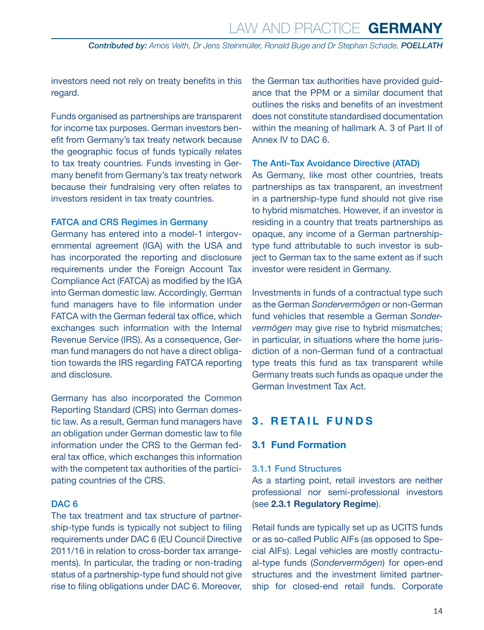<span id="page-13-0"></span>investors need not rely on treaty benefits in this regard.

Funds organised as partnerships are transparent for income tax purposes. German investors benefit from Germany's tax treaty network because the geographic focus of funds typically relates to tax treaty countries. Funds investing in Germany benefit from Germany's tax treaty network because their fundraising very often relates to investors resident in tax treaty countries.

#### FATCA and CRS Regimes in Germany

Germany has entered into a model-1 intergovernmental agreement (IGA) with the USA and has incorporated the reporting and disclosure requirements under the Foreign Account Tax Compliance Act (FATCA) as modified by the IGA into German domestic law. Accordingly, German fund managers have to file information under FATCA with the German federal tax office, which exchanges such information with the Internal Revenue Service (IRS). As a consequence, German fund managers do not have a direct obligation towards the IRS regarding FATCA reporting and disclosure.

Germany has also incorporated the Common Reporting Standard (CRS) into German domestic law. As a result, German fund managers have an obligation under German domestic law to file information under the CRS to the German federal tax office, which exchanges this information with the competent tax authorities of the participating countries of the CRS.

#### DAC<sub>6</sub>

The tax treatment and tax structure of partnership-type funds is typically not subject to filing requirements under DAC 6 (EU Council Directive 2011/16 in relation to cross-border tax arrangements). In particular, the trading or non-trading status of a partnership-type fund should not give rise to filing obligations under DAC 6. Moreover,

the German tax authorities have provided guidance that the PPM or a similar document that outlines the risks and benefits of an investment does not constitute standardised documentation within the meaning of hallmark A. 3 of Part II of Annex IV to DAC 6.

#### The Anti-Tax Avoidance Directive (ATAD)

As Germany, like most other countries, treats partnerships as tax transparent, an investment in a partnership-type fund should not give rise to hybrid mismatches. However, if an investor is residing in a country that treats partnerships as opaque, any income of a German partnershiptype fund attributable to such investor is subject to German tax to the same extent as if such investor were resident in Germany.

Investments in funds of a contractual type such as the German *Sondervermögen* or non-German fund vehicles that resemble a German *Sondervermögen* may give rise to hybrid mismatches; in particular, in situations where the home jurisdiction of a non-German fund of a contractual type treats this fund as tax transparent while Germany treats such funds as opaque under the German Investment Tax Act.

#### **3. RETAIL FUNDS**

#### **3.1 Fund Formation**

#### 3.1.1 Fund Structures

As a starting point, retail investors are neither professional nor semi-professional investors (see **2.3.1 Regulatory Regime**).

Retail funds are typically set up as UCITS funds or as so-called Public AIFs (as opposed to Special AIFs). Legal vehicles are mostly contractual-type funds (*Sondervermögen*) for open-end structures and the investment limited partnership for closed-end retail funds. Corporate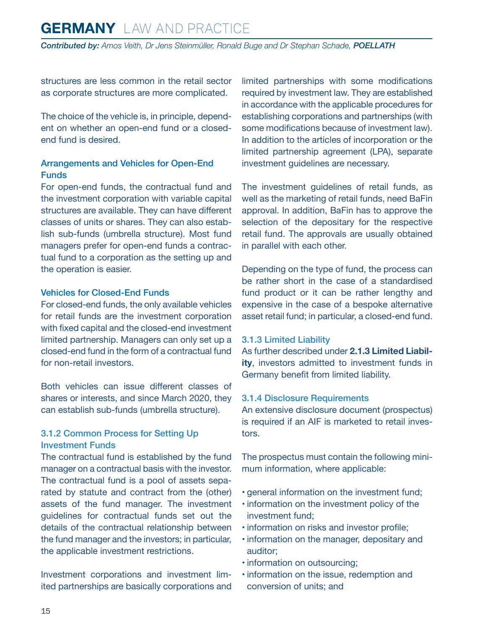structures are less common in the retail sector as corporate structures are more complicated.

The choice of the vehicle is, in principle, dependent on whether an open-end fund or a closedend fund is desired.

#### Arrangements and Vehicles for Open-End Funds

For open-end funds, the contractual fund and the investment corporation with variable capital structures are available. They can have different classes of units or shares. They can also establish sub-funds (umbrella structure). Most fund managers prefer for open-end funds a contractual fund to a corporation as the setting up and the operation is easier.

#### Vehicles for Closed-End Funds

For closed-end funds, the only available vehicles for retail funds are the investment corporation with fixed capital and the closed-end investment limited partnership. Managers can only set up a closed-end fund in the form of a contractual fund for non-retail investors.

Both vehicles can issue different classes of shares or interests, and since March 2020, they can establish sub-funds (umbrella structure).

#### 3.1.2 Common Process for Setting Up Investment Funds

The contractual fund is established by the fund manager on a contractual basis with the investor. The contractual fund is a pool of assets separated by statute and contract from the (other) assets of the fund manager. The investment guidelines for contractual funds set out the details of the contractual relationship between the fund manager and the investors; in particular, the applicable investment restrictions.

Investment corporations and investment limited partnerships are basically corporations and limited partnerships with some modifications required by investment law. They are established in accordance with the applicable procedures for establishing corporations and partnerships (with some modifications because of investment law). In addition to the articles of incorporation or the limited partnership agreement (LPA), separate investment guidelines are necessary.

The investment guidelines of retail funds, as well as the marketing of retail funds, need BaFin approval. In addition, BaFin has to approve the selection of the depositary for the respective retail fund. The approvals are usually obtained in parallel with each other.

Depending on the type of fund, the process can be rather short in the case of a standardised fund product or it can be rather lengthy and expensive in the case of a bespoke alternative asset retail fund; in particular, a closed-end fund.

#### 3.1.3 Limited Liability

As further described under **2.1.3 Limited Liability**, investors admitted to investment funds in Germany benefit from limited liability.

#### 3.1.4 Disclosure Requirements

An extensive disclosure document (prospectus) is required if an AIF is marketed to retail investors.

The prospectus must contain the following minimum information, where applicable:

- general information on the investment fund;
- information on the investment policy of the investment fund;
- information on risks and investor profile;
- information on the manager, depositary and auditor;
- information on outsourcing;
- information on the issue, redemption and conversion of units; and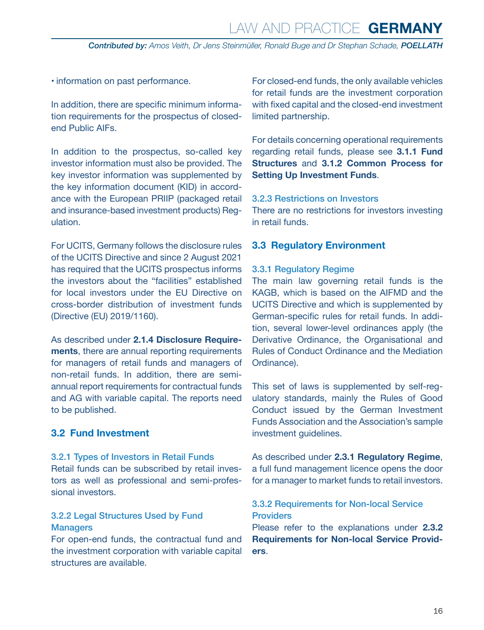<span id="page-15-0"></span>• information on past performance.

In addition, there are specific minimum information requirements for the prospectus of closedend Public AIFs.

In addition to the prospectus, so-called key investor information must also be provided. The key investor information was supplemented by the key information document (KID) in accordance with the European PRIIP (packaged retail and insurance-based investment products) Regulation.

For UCITS, Germany follows the disclosure rules of the UCITS Directive and since 2 August 2021 has required that the UCITS prospectus informs the investors about the "facilities" established for local investors under the EU Directive on cross-border distribution of investment funds (Directive (EU) 2019/1160).

As described under **2.1.4 Disclosure Requirements**, there are annual reporting requirements for managers of retail funds and managers of non-retail funds. In addition, there are semiannual report requirements for contractual funds and AG with variable capital. The reports need to be published.

#### **3.2 Fund Investment**

3.2.1 Types of Investors in Retail Funds Retail funds can be subscribed by retail investors as well as professional and semi-professional investors.

#### 3.2.2 Legal Structures Used by Fund **Managers**

For open-end funds, the contractual fund and the investment corporation with variable capital structures are available.

For closed-end funds, the only available vehicles for retail funds are the investment corporation with fixed capital and the closed-end investment limited partnership.

For details concerning operational requirements regarding retail funds, please see **3.1.1 Fund Structures** and **3.1.2 Common Process for Setting Up Investment Funds**.

#### 3.2.3 Restrictions on Investors

There are no restrictions for investors investing in retail funds.

#### **3.3 Regulatory Environment**

#### 3.3.1 Regulatory Regime

The main law governing retail funds is the KAGB, which is based on the AIFMD and the UCITS Directive and which is supplemented by German-specific rules for retail funds. In addition, several lower-level ordinances apply (the Derivative Ordinance, the Organisational and Rules of Conduct Ordinance and the Mediation Ordinance).

This set of laws is supplemented by self-regulatory standards, mainly the Rules of Good Conduct issued by the German Investment Funds Association and the Association's sample investment guidelines.

As described under **2.3.1 Regulatory Regime**, a full fund management licence opens the door for a manager to market funds to retail investors.

#### 3.3.2 Requirements for Non-local Service Providers

Please refer to the explanations under **2.3.2 Requirements for Non-local Service Providers**.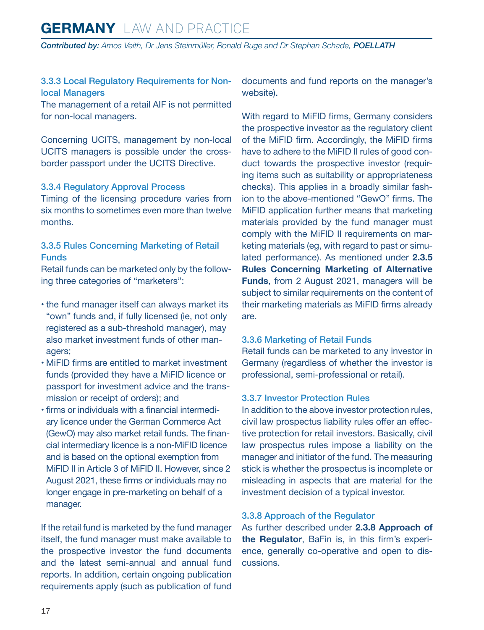*Contributed by: Amos Veith, Dr Jens Steinmüller, Ronald Buge and Dr Stephan Schade, POELLATH*

#### 3.3.3 Local Regulatory Requirements for Nonlocal Managers

The management of a retail AIF is not permitted for non-local managers.

Concerning UCITS, management by non-local UCITS managers is possible under the crossborder passport under the UCITS Directive.

#### 3.3.4 Regulatory Approval Process

Timing of the licensing procedure varies from six months to sometimes even more than twelve months.

#### 3.3.5 Rules Concerning Marketing of Retail Funds

Retail funds can be marketed only by the following three categories of "marketers":

- the fund manager itself can always market its "own" funds and, if fully licensed (ie, not only registered as a sub-threshold manager), may also market investment funds of other managers;
- MiFID firms are entitled to market investment funds (provided they have a MiFID licence or passport for investment advice and the transmission or receipt of orders); and
- firms or individuals with a financial intermediary licence under the German Commerce Act (GewO) may also market retail funds. The financial intermediary licence is a non-MiFID licence and is based on the optional exemption from MiFID II in Article 3 of MiFID II. However, since 2 August 2021, these firms or individuals may no longer engage in pre-marketing on behalf of a manager.

If the retail fund is marketed by the fund manager itself, the fund manager must make available to the prospective investor the fund documents and the latest semi-annual and annual fund reports. In addition, certain ongoing publication requirements apply (such as publication of fund documents and fund reports on the manager's website).

With regard to MiFID firms, Germany considers the prospective investor as the regulatory client of the MiFID firm. Accordingly, the MiFID firms have to adhere to the MiFID II rules of good conduct towards the prospective investor (requiring items such as suitability or appropriateness checks). This applies in a broadly similar fashion to the above-mentioned "GewO" firms. The MiFID application further means that marketing materials provided by the fund manager must comply with the MiFID II requirements on marketing materials (eg, with regard to past or simulated performance). As mentioned under **2.3.5 Rules Concerning Marketing of Alternative Funds**, from 2 August 2021, managers will be subject to similar requirements on the content of their marketing materials as MiFID firms already are.

#### 3.3.6 Marketing of Retail Funds

Retail funds can be marketed to any investor in Germany (regardless of whether the investor is professional, semi-professional or retail).

#### 3.3.7 Investor Protection Rules

In addition to the above investor protection rules, civil law prospectus liability rules offer an effective protection for retail investors. Basically, civil law prospectus rules impose a liability on the manager and initiator of the fund. The measuring stick is whether the prospectus is incomplete or misleading in aspects that are material for the investment decision of a typical investor.

#### 3.3.8 Approach of the Regulator

As further described under **2.3.8 Approach of the Regulator**, BaFin is, in this firm's experience, generally co-operative and open to discussions.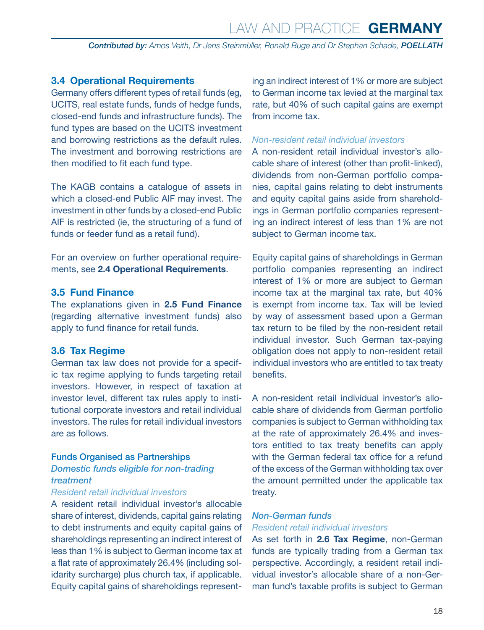#### <span id="page-17-0"></span>**3.4 Operational Requirements**

Germany offers different types of retail funds (eg, UCITS, real estate funds, funds of hedge funds, closed-end funds and infrastructure funds). The fund types are based on the UCITS investment and borrowing restrictions as the default rules. The investment and borrowing restrictions are then modified to fit each fund type.

The KAGB contains a catalogue of assets in which a closed-end Public AIF may invest. The investment in other funds by a closed-end Public AIF is restricted (ie, the structuring of a fund of funds or feeder fund as a retail fund).

For an overview on further operational requirements, see **2.4 Operational Requirements**.

#### **3.5 Fund Finance**

The explanations given in **2.5 Fund Finance**  (regarding alternative investment funds) also apply to fund finance for retail funds.

#### **3.6 Tax Regime**

German tax law does not provide for a specific tax regime applying to funds targeting retail investors. However, in respect of taxation at investor level, different tax rules apply to institutional corporate investors and retail individual investors. The rules for retail individual investors are as follows.

#### Funds Organised as Partnerships

#### *Domestic funds eligible for non-trading treatment*

#### *Resident retail individual investors*

A resident retail individual investor's allocable share of interest, dividends, capital gains relating to debt instruments and equity capital gains of shareholdings representing an indirect interest of less than 1% is subject to German income tax at a flat rate of approximately 26.4% (including solidarity surcharge) plus church tax, if applicable. Equity capital gains of shareholdings representing an indirect interest of 1% or more are subject to German income tax levied at the marginal tax rate, but 40% of such capital gains are exempt from income tax.

#### *Non-resident retail individual investors*

A non-resident retail individual investor's allocable share of interest (other than profit-linked), dividends from non-German portfolio companies, capital gains relating to debt instruments and equity capital gains aside from shareholdings in German portfolio companies representing an indirect interest of less than 1% are not subject to German income tax.

Equity capital gains of shareholdings in German portfolio companies representing an indirect interest of 1% or more are subject to German income tax at the marginal tax rate, but 40% is exempt from income tax. Tax will be levied by way of assessment based upon a German tax return to be filed by the non-resident retail individual investor. Such German tax-paying obligation does not apply to non-resident retail individual investors who are entitled to tax treaty **benefits** 

A non-resident retail individual investor's allocable share of dividends from German portfolio companies is subject to German withholding tax at the rate of approximately 26.4% and investors entitled to tax treaty benefits can apply with the German federal tax office for a refund of the excess of the German withholding tax over the amount permitted under the applicable tax treaty.

#### *Non-German funds Resident retail individual investors*

As set forth in **2.6 Tax Regime**, non-German funds are typically trading from a German tax perspective. Accordingly, a resident retail individual investor's allocable share of a non-German fund's taxable profits is subject to German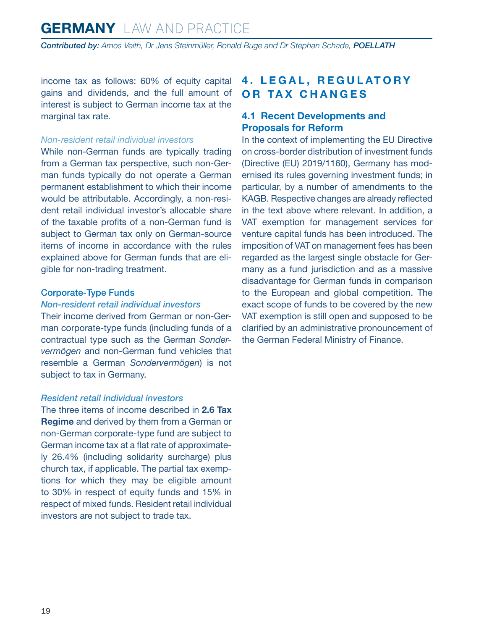<span id="page-18-0"></span>income tax as follows: 60% of equity capital gains and dividends, and the full amount of interest is subject to German income tax at the marginal tax rate.

#### *Non-resident retail individual investors*

While non-German funds are typically trading from a German tax perspective, such non-German funds typically do not operate a German permanent establishment to which their income would be attributable. Accordingly, a non-resident retail individual investor's allocable share of the taxable profits of a non-German fund is subject to German tax only on German-source items of income in accordance with the rules explained above for German funds that are eligible for non-trading treatment.

#### Corporate-Type Funds

#### *Non-resident retail individual investors*

Their income derived from German or non-German corporate-type funds (including funds of a contractual type such as the German *Sondervermögen* and non-German fund vehicles that resemble a German *Sondervermögen*) is not subject to tax in Germany.

#### *Resident retail individual investors*

The three items of income described in **2.6 Tax Regime** and derived by them from a German or non-German corporate-type fund are subject to German income tax at a flat rate of approximately 26.4% (including solidarity surcharge) plus church tax, if applicable. The partial tax exemptions for which they may be eligible amount to 30% in respect of equity funds and 15% in respect of mixed funds. Resident retail individual investors are not subject to trade tax.

#### **4 . L E G A L , R E G U L AT O R Y OR TAX CHANGES**

#### **4.1 Recent Developments and Proposals for Reform**

In the context of implementing the EU Directive on cross-border distribution of investment funds (Directive (EU) 2019/1160), Germany has modernised its rules governing investment funds; in particular, by a number of amendments to the KAGB. Respective changes are already reflected in the text above where relevant. In addition, a VAT exemption for management services for venture capital funds has been introduced. The imposition of VAT on management fees has been regarded as the largest single obstacle for Germany as a fund jurisdiction and as a massive disadvantage for German funds in comparison to the European and global competition. The exact scope of funds to be covered by the new VAT exemption is still open and supposed to be clarified by an administrative pronouncement of the German Federal Ministry of Finance.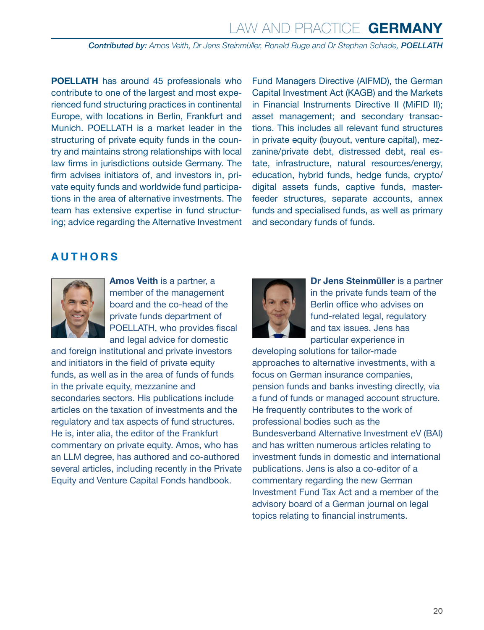## Law and Practice **GERMANY**

*Contributed by: Amos Veith, Dr Jens Steinmüller, Ronald Buge and Dr Stephan Schade, POELLATH*

**POELLATH** has around 45 professionals who contribute to one of the largest and most experienced fund structuring practices in continental Europe, with locations in Berlin, Frankfurt and Munich. POELLATH is a market leader in the structuring of private equity funds in the country and maintains strong relationships with local law firms in jurisdictions outside Germany. The firm advises initiators of, and investors in, private equity funds and worldwide fund participations in the area of alternative investments. The team has extensive expertise in fund structuring; advice regarding the Alternative Investment Fund Managers Directive (AIFMD), the German Capital Investment Act (KAGB) and the Markets in Financial Instruments Directive II (MiFID II); asset management; and secondary transactions. This includes all relevant fund structures in private equity (buyout, venture capital), mezzanine/private debt, distressed debt, real estate, infrastructure, natural resources/energy, education, hybrid funds, hedge funds, crypto/ digital assets funds, captive funds, masterfeeder structures, separate accounts, annex funds and specialised funds, as well as primary and secondary funds of funds.

#### <span id="page-19-0"></span>**AUTHORS**



**Amos Veith** is a partner, a member of the management board and the co-head of the private funds department of POELLATH, who provides fiscal and legal advice for domestic

and foreign institutional and private investors and initiators in the field of private equity funds, as well as in the area of funds of funds in the private equity, mezzanine and secondaries sectors. His publications include articles on the taxation of investments and the regulatory and tax aspects of fund structures. He is, inter alia, the editor of the Frankfurt commentary on private equity. Amos, who has an LLM degree, has authored and co-authored several articles, including recently in the Private Equity and Venture Capital Fonds handbook.



**Dr Jens Steinmüller** is a partner in the private funds team of the Berlin office who advises on fund-related legal, regulatory and tax issues. Jens has particular experience in

developing solutions for tailor-made approaches to alternative investments, with a focus on German insurance companies, pension funds and banks investing directly, via a fund of funds or managed account structure. He frequently contributes to the work of professional bodies such as the Bundesverband Alternative Investment eV (BAI) and has written numerous articles relating to investment funds in domestic and international publications. Jens is also a co-editor of a commentary regarding the new German Investment Fund Tax Act and a member of the advisory board of a German journal on legal topics relating to financial instruments.